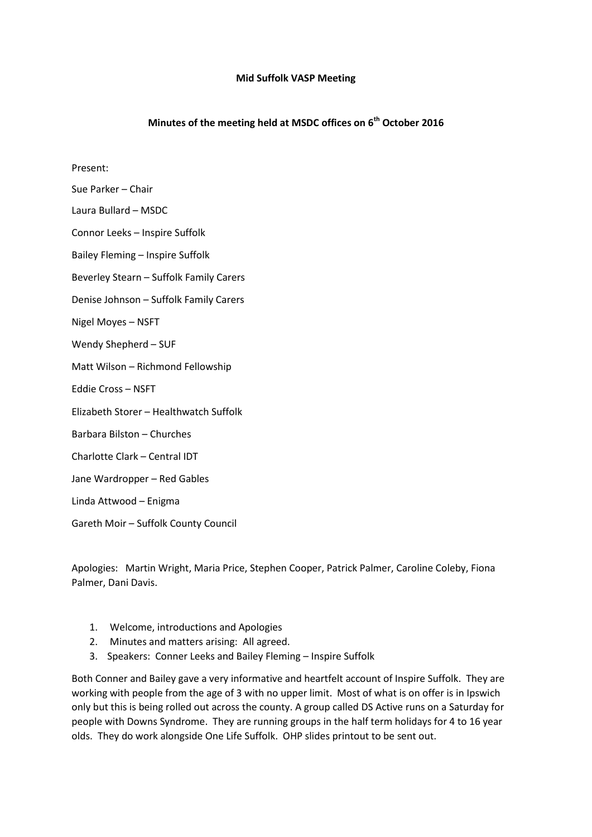## **Mid Suffolk VASP Meeting**

## **Minutes of the meeting held at MSDC offices on 6th October 2016**

Present:

Sue Parker – Chair

Laura Bullard – MSDC

Connor Leeks – Inspire Suffolk

Bailey Fleming – Inspire Suffolk

Beverley Stearn – Suffolk Family Carers

Denise Johnson – Suffolk Family Carers

Nigel Moyes – NSFT

Wendy Shepherd – SUF

Matt Wilson – Richmond Fellowship

Eddie Cross – NSFT

Elizabeth Storer – Healthwatch Suffolk

Barbara Bilston – Churches

Charlotte Clark – Central IDT

Jane Wardropper – Red Gables

Linda Attwood – Enigma

Gareth Moir – Suffolk County Council

Apologies: Martin Wright, Maria Price, Stephen Cooper, Patrick Palmer, Caroline Coleby, Fiona Palmer, Dani Davis.

- 1. Welcome, introductions and Apologies
- 2. Minutes and matters arising: All agreed.
- 3. Speakers: Conner Leeks and Bailey Fleming Inspire Suffolk

Both Conner and Bailey gave a very informative and heartfelt account of Inspire Suffolk. They are working with people from the age of 3 with no upper limit. Most of what is on offer is in Ipswich only but this is being rolled out across the county. A group called DS Active runs on a Saturday for people with Downs Syndrome. They are running groups in the half term holidays for 4 to 16 year olds. They do work alongside One Life Suffolk. OHP slides printout to be sent out.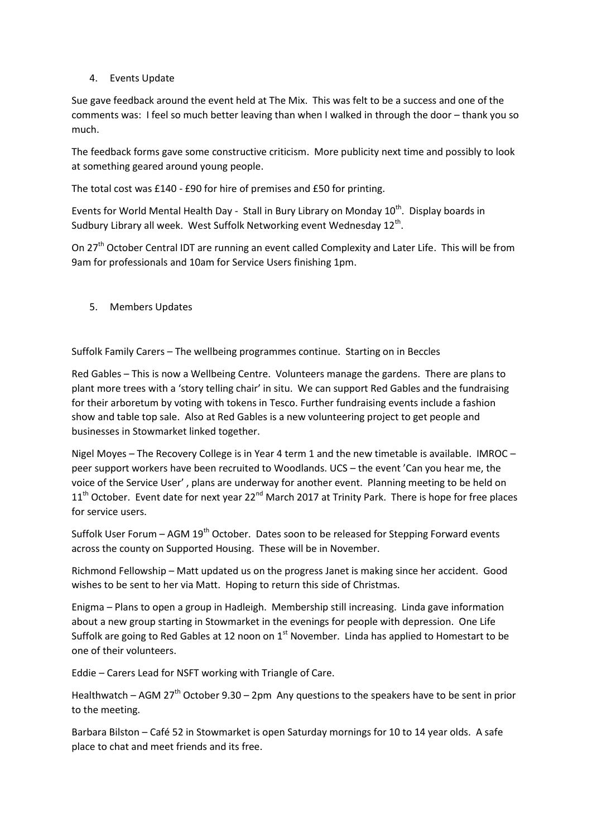## 4. Events Update

Sue gave feedback around the event held at The Mix. This was felt to be a success and one of the comments was: I feel so much better leaving than when I walked in through the door – thank you so much.

The feedback forms gave some constructive criticism. More publicity next time and possibly to look at something geared around young people.

The total cost was £140 - £90 for hire of premises and £50 for printing.

Events for World Mental Health Day - Stall in Bury Library on Monday  $10^{th}$ . Display boards in Sudbury Library all week. West Suffolk Networking event Wednesday 12<sup>th</sup>.

On 27<sup>th</sup> October Central IDT are running an event called Complexity and Later Life. This will be from 9am for professionals and 10am for Service Users finishing 1pm.

5. Members Updates

Suffolk Family Carers – The wellbeing programmes continue. Starting on in Beccles

Red Gables – This is now a Wellbeing Centre. Volunteers manage the gardens. There are plans to plant more trees with a 'story telling chair' in situ. We can support Red Gables and the fundraising for their arboretum by voting with tokens in Tesco. Further fundraising events include a fashion show and table top sale. Also at Red Gables is a new volunteering project to get people and businesses in Stowmarket linked together.

Nigel Moyes – The Recovery College is in Year 4 term 1 and the new timetable is available. IMROC – peer support workers have been recruited to Woodlands. UCS – the event 'Can you hear me, the voice of the Service User' , plans are underway for another event. Planning meeting to be held on  $11<sup>th</sup>$  October. Event date for next year 22<sup>nd</sup> March 2017 at Trinity Park. There is hope for free places for service users.

Suffolk User Forum – AGM 19<sup>th</sup> October. Dates soon to be released for Stepping Forward events across the county on Supported Housing. These will be in November.

Richmond Fellowship – Matt updated us on the progress Janet is making since her accident. Good wishes to be sent to her via Matt. Hoping to return this side of Christmas.

Enigma – Plans to open a group in Hadleigh. Membership still increasing. Linda gave information about a new group starting in Stowmarket in the evenings for people with depression. One Life Suffolk are going to Red Gables at 12 noon on  $1<sup>st</sup>$  November. Linda has applied to Homestart to be one of their volunteers.

Eddie – Carers Lead for NSFT working with Triangle of Care.

Healthwatch – AGM 27<sup>th</sup> October 9.30 – 2pm Any questions to the speakers have to be sent in prior to the meeting.

Barbara Bilston – Café 52 in Stowmarket is open Saturday mornings for 10 to 14 year olds. A safe place to chat and meet friends and its free.